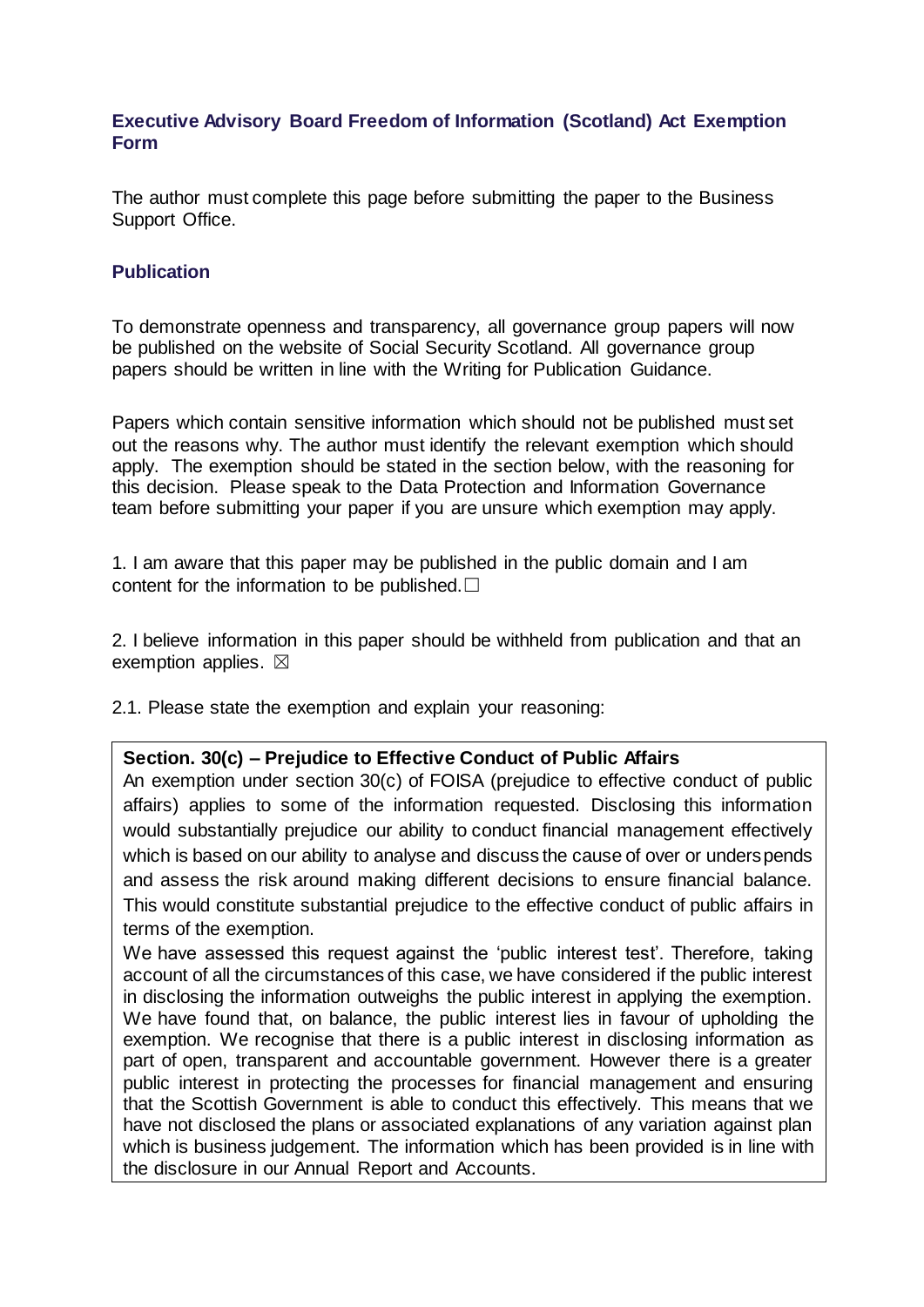## **Executive Advisory Board Freedom of Information (Scotland) Act Exemption Form**

The author must complete this page before submitting the paper to the Business Support Office.

## **Publication**

To demonstrate openness and transparency, all governance group papers will now be published on the website of Social Security Scotland. All governance group papers should be written in line with the Writing for Publication Guidance.

Papers which contain sensitive information which should not be published must set out the reasons why. The author must identify the relevant exemption which should apply. The exemption should be stated in the section below, with the reasoning for this decision. Please speak to the Data Protection and Information Governance team before submitting your paper if you are unsure which exemption may apply.

1. I am aware that this paper may be published in the public domain and I am content for the information to be published. $□$ 

2. I believe information in this paper should be withheld from publication and that an exemption applies.  $\boxtimes$ 

2.1. Please state the exemption and explain your reasoning:

## **Section. 30(c) – Prejudice to Effective Conduct of Public Affairs**

An exemption under section 30(c) of FOISA (prejudice to effective conduct of public affairs) applies to some of the information requested. Disclosing this information would substantially prejudice our ability to conduct financial management effectively which is based on our ability to analyse and discuss the cause of over or underspends and assess the risk around making different decisions to ensure financial balance. This would constitute substantial prejudice to the effective conduct of public affairs in terms of the exemption.

We have assessed this request against the 'public interest test'. Therefore, taking account of all the circumstances of this case, we have considered if the public interest in disclosing the information outweighs the public interest in applying the exemption. We have found that, on balance, the public interest lies in favour of upholding the exemption. We recognise that there is a public interest in disclosing information as part of open, transparent and accountable government. However there is a greater public interest in protecting the processes for financial management and ensuring that the Scottish Government is able to conduct this effectively. This means that we have not disclosed the plans or associated explanations of any variation against plan which is business judgement. The information which has been provided is in line with the disclosure in our Annual Report and Accounts.